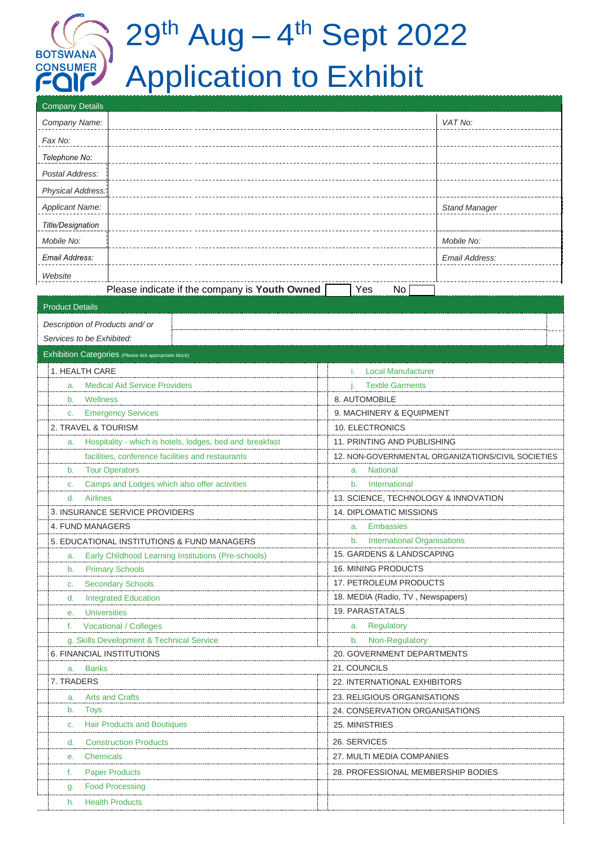# 29<sup>th</sup> Aug – 4<sup>th</sup> Sept 2022 Application to Exhibit

| <b>Company Details</b>                                                |                                                                                                         |  |  |  |  |
|-----------------------------------------------------------------------|---------------------------------------------------------------------------------------------------------|--|--|--|--|
| Company Name:                                                         | VAT No:                                                                                                 |  |  |  |  |
| Fax No:                                                               |                                                                                                         |  |  |  |  |
| Telephone No:                                                         |                                                                                                         |  |  |  |  |
|                                                                       |                                                                                                         |  |  |  |  |
| Postal Address:                                                       |                                                                                                         |  |  |  |  |
| Physical Address:                                                     |                                                                                                         |  |  |  |  |
| <b>Applicant Name:</b>                                                | <b>Stand Manager</b>                                                                                    |  |  |  |  |
| <b>Title/Designation</b>                                              |                                                                                                         |  |  |  |  |
| Mobile No:                                                            | Mobile No:                                                                                              |  |  |  |  |
| Email Address:                                                        | Email Address:                                                                                          |  |  |  |  |
| Website                                                               |                                                                                                         |  |  |  |  |
| Please indicate if the company is Youth Owned                         | Yes<br>No <sub>1</sub>                                                                                  |  |  |  |  |
| <b>Product Details</b>                                                |                                                                                                         |  |  |  |  |
|                                                                       |                                                                                                         |  |  |  |  |
| Description of Products and/ or                                       |                                                                                                         |  |  |  |  |
| Services to be Exhibited:                                             |                                                                                                         |  |  |  |  |
| Exhibition Categories (Please tick appropriate block)                 |                                                                                                         |  |  |  |  |
| 1. HEALTH CARE                                                        | <b>Local Manufacturer</b>                                                                               |  |  |  |  |
| <b>Medical Aid Service Providers</b><br>a.                            | <b>Textile Garments</b>                                                                                 |  |  |  |  |
| b. Wellness                                                           | 8. AUTOMOBILE                                                                                           |  |  |  |  |
| <b>Emergency Services</b><br>C.                                       | 9. MACHINERY & EQUIPMENT                                                                                |  |  |  |  |
| 2. TRAVEL & TOURISM                                                   | 10. ELECTRONICS                                                                                         |  |  |  |  |
| Hospitality - which is hotels, lodges, bed and breakfast<br>a.        | 11. PRINTING AND PUBLISHING                                                                             |  |  |  |  |
| b. Tour Operators                                                     | facilities, conference facilities and restaurants<br>12. NON-GOVERNMENTAL ORGANIZATIONS/CIVIL SOCIETIES |  |  |  |  |
| c.                                                                    | a. National<br>b. International                                                                         |  |  |  |  |
| Camps and Lodges which also offer activities<br><b>Airlines</b><br>d. | 13. SCIENCE, TECHNOLOGY & INNOVATION                                                                    |  |  |  |  |
| 3. INSURANCE SERVICE PROVIDERS                                        | 14. DIPLOMATIC MISSIONS                                                                                 |  |  |  |  |
| 4. FUND MANAGERS                                                      | Embassies<br>a.                                                                                         |  |  |  |  |
| 5. EDUCATIONAL INSTITUTIONS & FUND MANAGERS                           | <b>International Organisations</b><br>b.                                                                |  |  |  |  |
| Early Childhood Learning Institutions (Pre-schools)<br>a.             | 15. GARDENS & LANDSCAPING                                                                               |  |  |  |  |
| <b>Primary Schools</b><br>b.                                          | 16. MINING PRODUCTS                                                                                     |  |  |  |  |
| <b>Secondary Schools</b><br>C.                                        | 17. PETROLEUM PRODUCTS                                                                                  |  |  |  |  |
| <b>Integrated Education</b><br>d.                                     | 18. MEDIA (Radio, TV, Newspapers)                                                                       |  |  |  |  |
| <b>Universities</b><br>е.                                             | 19. PARASTATALS                                                                                         |  |  |  |  |
| <b>Vocational / Colleges</b><br>f.                                    | a. Regulatory                                                                                           |  |  |  |  |
| g. Skills Development & Technical Service                             | b. Non-Regulatory                                                                                       |  |  |  |  |
| 6. FINANCIAL INSTITUTIONS                                             | 20. GOVERNMENT DEPARTMENTS                                                                              |  |  |  |  |
| <b>Banks</b><br>a.                                                    | 21. COUNCILS                                                                                            |  |  |  |  |
| 7. TRADERS                                                            | 22. INTERNATIONAL EXHIBITORS                                                                            |  |  |  |  |
| <b>Arts and Crafts</b><br>a.                                          | 23. RELIGIOUS ORGANISATIONS                                                                             |  |  |  |  |
| <b>Toys</b><br>b.                                                     | 24. CONSERVATION ORGANISATIONS                                                                          |  |  |  |  |
| <b>Hair Products and Boutiques</b><br>C.                              | 25. MINISTRIES                                                                                          |  |  |  |  |
| <b>Construction Products</b><br>d.                                    | 26. SERVICES                                                                                            |  |  |  |  |
| Chemicals<br>е.                                                       | 27. MULTI MEDIA COMPANIES                                                                               |  |  |  |  |
| <b>Paper Products</b><br>f.                                           | 28. PROFESSIONAL MEMBERSHIP BODIES                                                                      |  |  |  |  |
| <b>Food Processing</b><br>g.                                          |                                                                                                         |  |  |  |  |
| <b>Health Products</b><br>h.                                          |                                                                                                         |  |  |  |  |